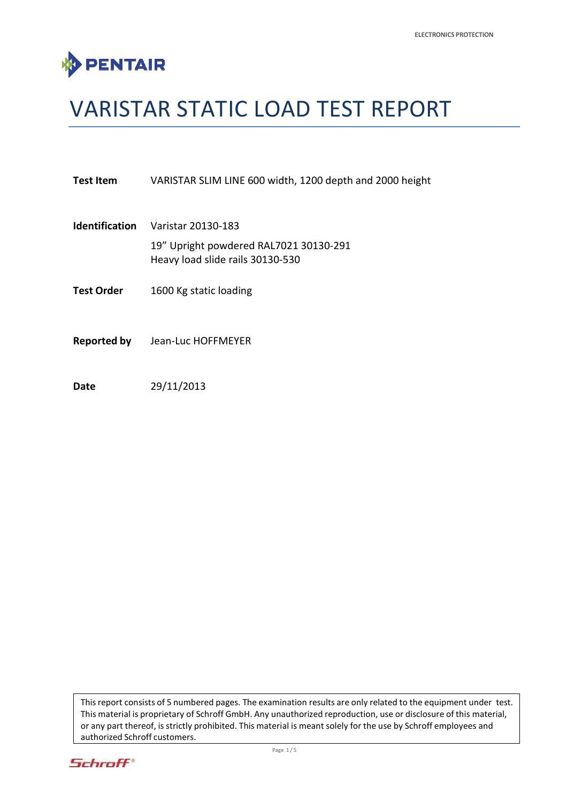

# VARISTAR STATIC LOAD TEST REPORT

| Test Item             | VARISTAR SLIM LINE 600 width, 1200 depth and 2000 height                                         |  |  |
|-----------------------|--------------------------------------------------------------------------------------------------|--|--|
| <b>Identification</b> | Varistar 20130-183<br>19" Upright powdered RAL7021 30130-291<br>Heavy load slide rails 30130-530 |  |  |
| Test Order            | 1600 Kg static loading                                                                           |  |  |
| <b>Reported by</b>    | Jean-Luc HOFFMEYER                                                                               |  |  |

**Date** 29/11/2013

This report consists of 5 numbered pages. The examination results are only related to the equipment under test. This material is proprietary of Schroff GmbH. Any unauthorized reproduction, use or disclosure of this material, or any part thereof, is strictly prohibited. This material is meant solely for the use by Schroff employees and authorized Schroff customers.

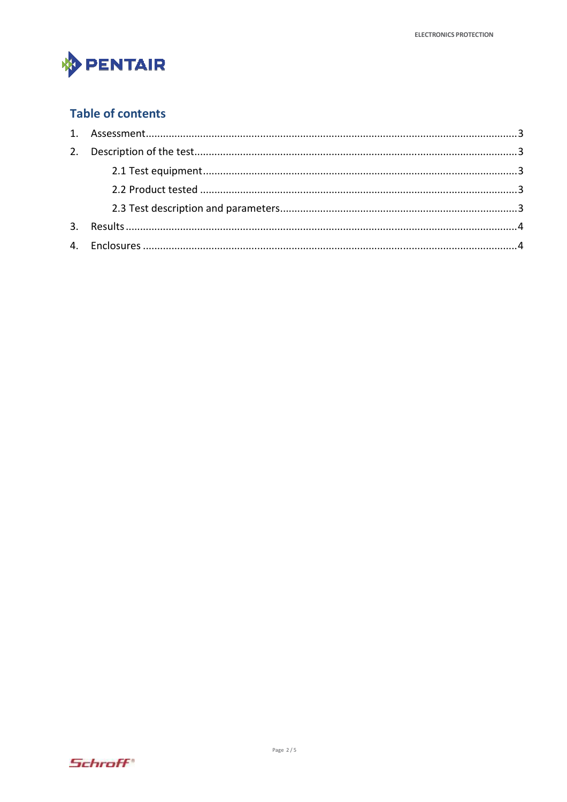

## **Table of contents**

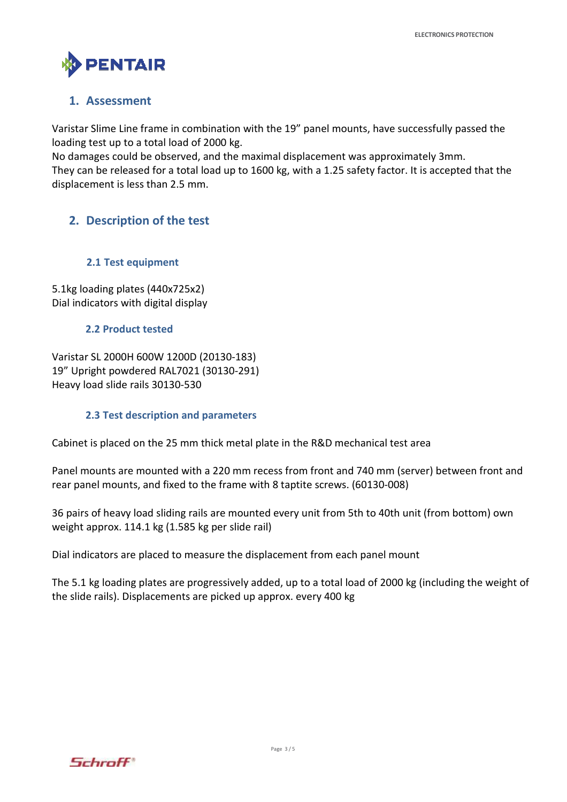

#### **1. Assessment**

Varistar Slime Line frame in combination with the 19" panel mounts, have successfully passed the loading test up to a total load of 2000 kg.

No damages could be observed, and the maximal displacement was approximately 3mm.

They can be released for a total load up to 1600 kg, with a 1.25 safety factor. It is accepted that the displacement is less than 2.5 mm.

### **2. Description of the test**

#### **2.1 Test equipment**

5.1kg loading plates (440x725x2) Dial indicators with digital display

#### **2.2 Product tested**

Varistar SL 2000H 600W 1200D (20130-183) 19" Upright powdered RAL7021 (30130-291) Heavy load slide rails 30130-530

#### **2.3 Test description and parameters**

Cabinet is placed on the 25 mm thick metal plate in the R&D mechanical test area

Panel mounts are mounted with a 220 mm recess from front and 740 mm (server) between front and rear panel mounts, and fixed to the frame with 8 taptite screws. (60130-008)

36 pairs of heavy load sliding rails are mounted every unit from 5th to 40th unit (from bottom) own weight approx. 114.1 kg (1.585 kg per slide rail)

Dial indicators are placed to measure the displacement from each panel mount

The 5.1 kg loading plates are progressively added, up to a total load of 2000 kg (including the weight of the slide rails). Displacements are picked up approx. every 400 kg

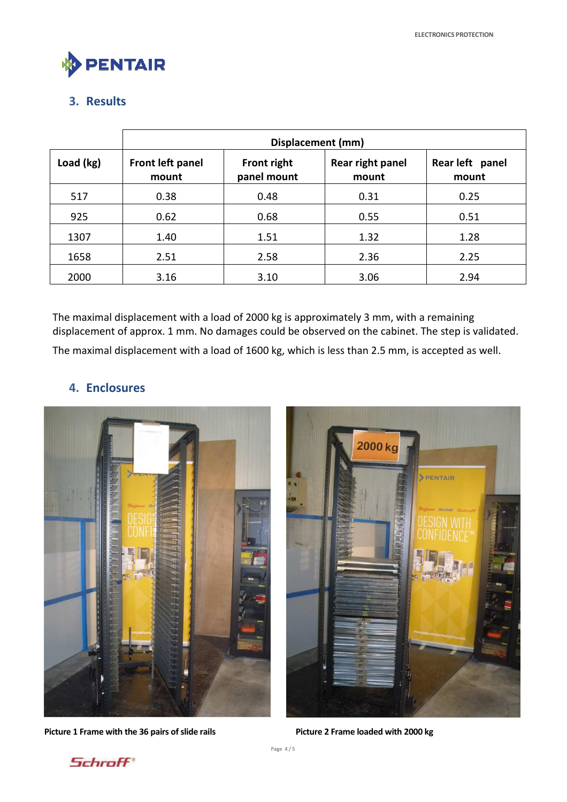

## **3. Results**

|           | Displacement (mm)         |                                   |                           |                          |  |  |
|-----------|---------------------------|-----------------------------------|---------------------------|--------------------------|--|--|
| Load (kg) | Front left panel<br>mount | <b>Front right</b><br>panel mount | Rear right panel<br>mount | Rear left panel<br>mount |  |  |
| 517       | 0.38                      | 0.48                              | 0.31                      | 0.25                     |  |  |
| 925       | 0.62                      | 0.68                              | 0.55                      | 0.51                     |  |  |
| 1307      | 1.40                      | 1.51                              | 1.32                      | 1.28                     |  |  |
| 1658      | 2.51                      | 2.58                              | 2.36                      | 2.25                     |  |  |
| 2000      | 3.16                      | 3.10                              | 3.06                      | 2.94                     |  |  |

The maximal displacement with a load of 2000 kg is approximately 3 mm, with a remaining displacement of approx. 1 mm. No damages could be observed on the cabinet. The step is validated. The maximal displacement with a load of 1600 kg, which is less than 2.5 mm, is accepted as well.

## **4. Enclosures**



Picture 1 Frame with the 36 pairs of slide rails **Picture 2 Frame loaded with 2000 kg**